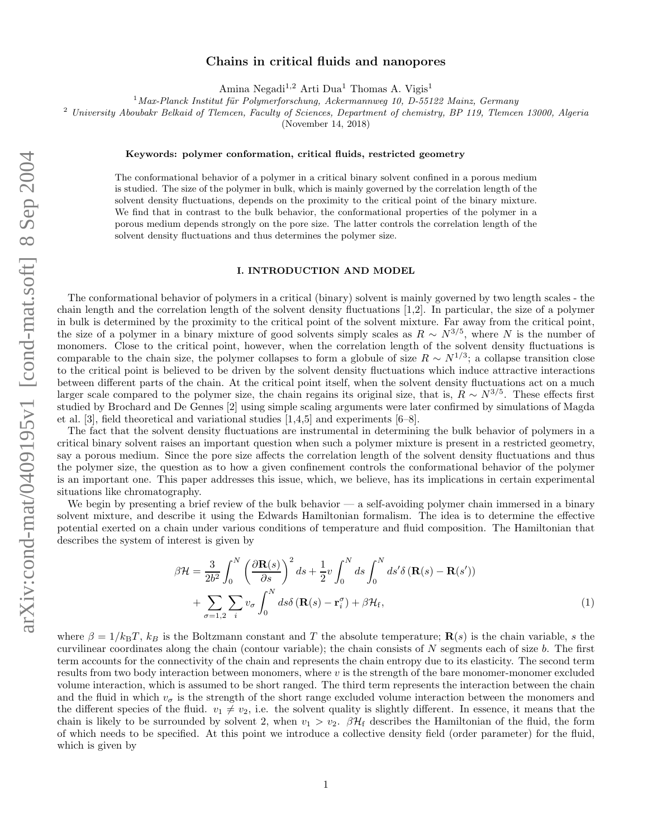# Chains in critical fluids and nanopores

Amina Negadi<sup>1,2</sup> Arti Dua<sup>1</sup> Thomas A. Vigis<sup>1</sup>

<sup>1</sup>*Max-Planck Institut f¨ur Polymerforschung, Ackermannweg 10, D-55122 Mainz, Germany*

<sup>2</sup> *University Aboubakr Belkaid of Tlemcen, Faculty of Sciences, Department of chemistry, BP 119, Tlemcen 13000, Algeria*

(November 14, 2018)

### Keywords: polymer conformation, critical fluids, restricted geometry

The conformational behavior of a polymer in a critical binary solvent confined in a porous medium is studied. The size of the polymer in bulk, which is mainly governed by the correlation length of the solvent density fluctuations, depends on the proximity to the critical point of the binary mixture. We find that in contrast to the bulk behavior, the conformational properties of the polymer in a porous medium depends strongly on the pore size. The latter controls the correlation length of the solvent density fluctuations and thus determines the polymer size.

#### I. INTRODUCTION AND MODEL

The conformational behavior of polymers in a critical (binary) solvent is mainly governed by two length scales - the chain length and the correlation length of the solvent density fluctuations [1,2]. In particular, the size of a polymer in bulk is determined by the proximity to the critical point of the solvent mixture. Far away from the critical point, the size of a polymer in a binary mixture of good solvents simply scales as  $R \sim N^{3/5}$ , where N is the number of monomers. Close to the critical point, however, when the correlation length of the solvent density fluctuations is comparable to the chain size, the polymer collapses to form a globule of size  $R \sim N^{1/3}$ ; a collapse transition close to the critical point is believed to be driven by the solvent density fluctuations which induce attractive interactions between different parts of the chain. At the critical point itself, when the solvent density fluctuations act on a much larger scale compared to the polymer size, the chain regains its original size, that is,  $R \sim N^{3/5}$ . These effects first studied by Brochard and De Gennes [2] using simple scaling arguments were later confirmed by simulations of Magda et al. [3], field theoretical and variational studies [1,4,5] and experiments [6–8].

The fact that the solvent density fluctuations are instrumental in determining the bulk behavior of polymers in a critical binary solvent raises an important question when such a polymer mixture is present in a restricted geometry, say a porous medium. Since the pore size affects the correlation length of the solvent density fluctuations and thus the polymer size, the question as to how a given confinement controls the conformational behavior of the polymer is an important one. This paper addresses this issue, which, we believe, has its implications in certain experimental situations like chromatography.

We begin by presenting a brief review of the bulk behavior — a self-avoiding polymer chain immersed in a binary solvent mixture, and describe it using the Edwards Hamiltonian formalism. The idea is to determine the effective potential exerted on a chain under various conditions of temperature and fluid composition. The Hamiltonian that describes the system of interest is given by

$$
\beta \mathcal{H} = \frac{3}{2b^2} \int_0^N \left( \frac{\partial \mathbf{R}(s)}{\partial s} \right)^2 ds + \frac{1}{2} v \int_0^N ds \int_0^N ds' \delta \left( \mathbf{R}(s) - \mathbf{R}(s') \right) + \sum_{\sigma=1,2} \sum_i v_{\sigma} \int_0^N ds \delta \left( \mathbf{R}(s) - \mathbf{r}_i^{\sigma} \right) + \beta \mathcal{H}_{\text{f}},
$$
\n(1)

where  $\beta = 1/k_BT$ ,  $k_B$  is the Boltzmann constant and T the absolute temperature; **R**(s) is the chain variable, s the curvilinear coordinates along the chain (contour variable); the chain consists of  $N$  segments each of size  $b$ . The first term accounts for the connectivity of the chain and represents the chain entropy due to its elasticity. The second term results from two body interaction between monomers, where  $v$  is the strength of the bare monomer-monomer excluded volume interaction, which is assumed to be short ranged. The third term represents the interaction between the chain and the fluid in which  $v_{\sigma}$  is the strength of the short range excluded volume interaction between the monomers and the different species of the fluid.  $v_1 \neq v_2$ , i.e. the solvent quality is slightly different. In essence, it means that the chain is likely to be surrounded by solvent 2, when  $v_1 > v_2$ .  $\beta \mathcal{H}_f$  describes the Hamiltonian of the fluid, the form of which needs to be specified. At this point we introduce a collective density field (order parameter) for the fluid, which is given by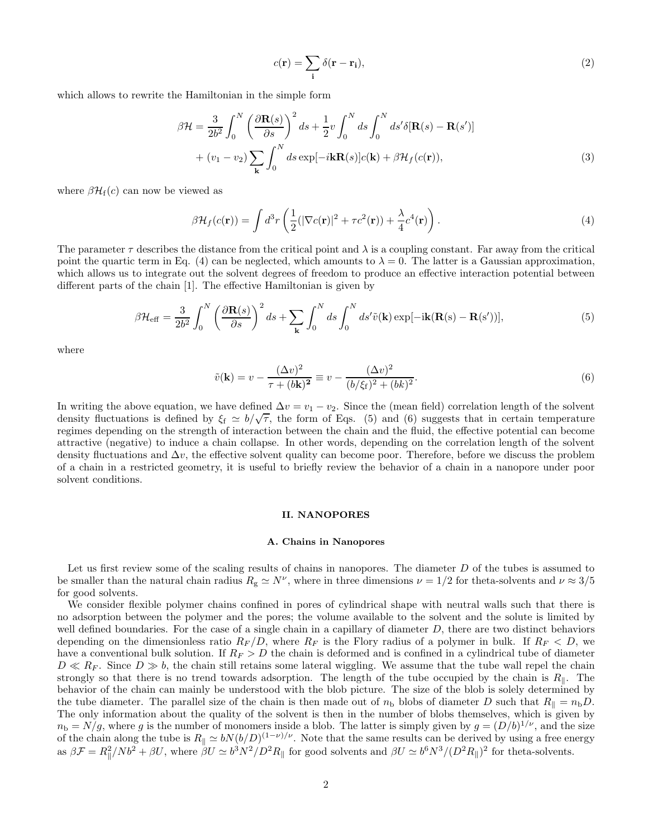$$
c(\mathbf{r}) = \sum_{\mathbf{i}} \delta(\mathbf{r} - \mathbf{r}_{\mathbf{i}}),
$$
 (2)

which allows to rewrite the Hamiltonian in the simple form

$$
\beta \mathcal{H} = \frac{3}{2b^2} \int_0^N \left( \frac{\partial \mathbf{R}(s)}{\partial s} \right)^2 ds + \frac{1}{2} v \int_0^N ds \int_0^N ds' \delta[\mathbf{R}(s) - \mathbf{R}(s')] + (v_1 - v_2) \sum_{\mathbf{k}} \int_0^N ds \exp[-i\mathbf{k}\mathbf{R}(s)]c(\mathbf{k}) + \beta \mathcal{H}_f(c(\mathbf{r})),
$$
\n(3)

where  $\beta \mathcal{H}_{f}(c)$  can now be viewed as

$$
\beta \mathcal{H}_f(c(\mathbf{r})) = \int d^3r \left( \frac{1}{2} (|\nabla c(\mathbf{r})|^2 + \tau c^2(\mathbf{r})) + \frac{\lambda}{4} c^4(\mathbf{r}) \right). \tag{4}
$$

The parameter  $\tau$  describes the distance from the critical point and  $\lambda$  is a coupling constant. Far away from the critical point the quartic term in Eq. (4) can be neglected, which amounts to  $\lambda = 0$ . The latter is a Gaussian approximation, which allows us to integrate out the solvent degrees of freedom to produce an effective interaction potential between different parts of the chain [1]. The effective Hamiltonian is given by

$$
\beta \mathcal{H}_{\text{eff}} = \frac{3}{2b^2} \int_0^N \left( \frac{\partial \mathbf{R}(s)}{\partial s} \right)^2 ds + \sum_{\mathbf{k}} \int_0^N ds \int_0^N ds' \tilde{v}(\mathbf{k}) \exp[-i\mathbf{k}(\mathbf{R}(s) - \mathbf{R}(s'))], \tag{5}
$$

where

$$
\tilde{v}(\mathbf{k}) = v - \frac{(\Delta v)^2}{\tau + (b\mathbf{k})^2} \equiv v - \frac{(\Delta v)^2}{(b/\xi_f)^2 + (bk)^2}.
$$
\n(6)

In writing the above equation, we have defined  $\Delta v = v_1 - v_2$ . Since the (mean field) correlation length of the solvent density fluctuations is defined by  $\xi_f \simeq b/\sqrt{\tau}$ , the form of Eqs. (5) and (6) suggests that in certain temperature regimes depending on the strength of interaction between the chain and the fluid, the effective potential can become attractive (negative) to induce a chain collapse. In other words, depending on the correlation length of the solvent density fluctuations and  $\Delta v$ , the effective solvent quality can become poor. Therefore, before we discuss the problem of a chain in a restricted geometry, it is useful to briefly review the behavior of a chain in a nanopore under poor solvent conditions.

### II. NANOPORES

#### A. Chains in Nanopores

Let us first review some of the scaling results of chains in nanopores. The diameter  $D$  of the tubes is assumed to be smaller than the natural chain radius  $R_{\rm g} \simeq N^{\nu}$ , where in three dimensions  $\nu = 1/2$  for theta-solvents and  $\nu \approx 3/5$ for good solvents.

We consider flexible polymer chains confined in pores of cylindrical shape with neutral walls such that there is no adsorption between the polymer and the pores; the volume available to the solvent and the solute is limited by well defined boundaries. For the case of a single chain in a capillary of diameter  $D$ , there are two distinct behaviors depending on the dimensionless ratio  $R_F/D$ , where  $R_F$  is the Flory radius of a polymer in bulk. If  $R_F < D$ , we have a conventional bulk solution. If  $R_F > D$  the chain is deformed and is confined in a cylindrical tube of diameter  $D \ll R_F$ . Since  $D \gg b$ , the chain still retains some lateral wiggling. We assume that the tube wall repel the chain strongly so that there is no trend towards adsorption. The length of the tube occupied by the chain is  $R_{\parallel}$ . The behavior of the chain can mainly be understood with the blob picture. The size of the blob is solely determined by the tube diameter. The parallel size of the chain is then made out of  $n<sub>b</sub>$  blobs of diameter D such that  $R_{\parallel} = n<sub>b</sub>D$ . The only information about the quality of the solvent is then in the number of blobs themselves, which is given by  $n_{\rm b} = N/g$ , where g is the number of monomers inside a blob. The latter is simply given by  $g = (D/b)^{1/\nu}$ , and the size of the chain along the tube is  $R_{\parallel} \simeq bN(b/D)^{(1-\nu)/\nu}$ . Note that the same results can be derived by using a free energy as  $\beta \mathcal{F} = R_{\parallel}^2 / N b^2 + \beta U$ , where  $\beta U \simeq b^3 N^2 / D^2 R_{\parallel}$  for good solvents and  $\beta U \simeq b^6 N^3 / (D^2 R_{\parallel})^2$  for theta-solvents.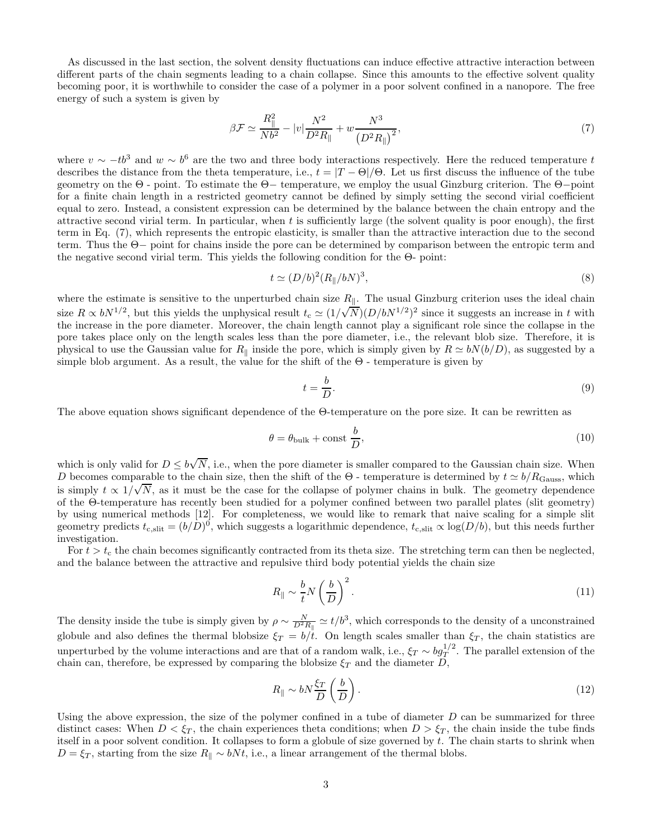As discussed in the last section, the solvent density fluctuations can induce effective attractive interaction between different parts of the chain segments leading to a chain collapse. Since this amounts to the effective solvent quality becoming poor, it is worthwhile to consider the case of a polymer in a poor solvent confined in a nanopore. The free energy of such a system is given by

$$
\beta \mathcal{F} \simeq \frac{R_{\parallel}^2}{Nb^2} - |v|\frac{N^2}{D^2 R_{\parallel}} + w \frac{N^3}{\left(D^2 R_{\parallel}\right)^2},\tag{7}
$$

where  $v \sim -tb^3$  and  $w \sim b^6$  are the two and three body interactions respectively. Here the reduced temperature to describes the distance from the theta temperature, i.e.,  $t = |T - \Theta|/\Theta$ . Let us first discuss the influence of the tube geometry on the Θ - point. To estimate the Θ− temperature, we employ the usual Ginzburg criterion. The Θ−point for a finite chain length in a restricted geometry cannot be defined by simply setting the second virial coefficient equal to zero. Instead, a consistent expression can be determined by the balance between the chain entropy and the attractive second virial term. In particular, when  $t$  is sufficiently large (the solvent quality is poor enough), the first term in Eq. (7), which represents the entropic elasticity, is smaller than the attractive interaction due to the second term. Thus the Θ− point for chains inside the pore can be determined by comparison between the entropic term and the negative second virial term. This yields the following condition for the Θ- point:

$$
t \simeq (D/b)^2 (R_{\parallel}/bN)^3, \tag{8}
$$

where the estimate is sensitive to the unperturbed chain size  $R_{\parallel}$ . The usual Ginzburg criterion uses the ideal chain size  $R \propto bN^{1/2}$ , but this yields the unphysical result  $t_c \simeq (1/\sqrt{N})(D/bN^{1/2})^2$  since it suggests an increase in t with the increase in the pore diameter. Moreover, the chain length cannot play a significant role since the collapse in the pore takes place only on the length scales less than the pore diameter, i.e., the relevant blob size. Therefore, it is physical to use the Gaussian value for R<sub>||</sub> inside the pore, which is simply given by  $R \simeq bN(b/D)$ , as suggested by a simple blob argument. As a result, the value for the shift of the  $\Theta$  - temperature is given by

$$
t = \frac{b}{D}.\tag{9}
$$

The above equation shows significant dependence of the Θ-temperature on the pore size. It can be rewritten as

$$
\theta = \theta_{\text{bulk}} + \text{const} \frac{b}{D},\tag{10}
$$

which is only valid for  $D \le b\sqrt{N}$ , i.e., when the pore diameter is smaller compared to the Gaussian chain size. When D becomes comparable to the chain size, then the shift of the  $\Theta$  - temperature is determined by  $t \simeq b/R_{\text{Gauss}}$ , which is simply  $t \propto 1/\sqrt{N}$ , as it must be the case for the collapse of polymer chains in bulk. The geometry dependence of the Θ-temperature has recently been studied for a polymer confined between two parallel plates (slit geometry) by using numerical methods [12]. For completeness, we would like to remark that naive scaling for a simple slit geometry predicts  $t_{\text{c,slit}} = (b/D)^0$ , which suggests a logarithmic dependence,  $t_{\text{c,slit}} \propto \log(D/b)$ , but this needs further investigation.

For  $t > t_c$  the chain becomes significantly contracted from its theta size. The stretching term can then be neglected, and the balance between the attractive and repulsive third body potential yields the chain size

$$
R_{\parallel} \sim \frac{b}{t} N \left(\frac{b}{D}\right)^2. \tag{11}
$$

The density inside the tube is simply given by  $\rho \sim \frac{N}{D^2 R_{\parallel}} \simeq t/b^3$ , which corresponds to the density of a unconstrained globule and also defines the thermal blobsize  $\xi_T = b/t$ . On length scales smaller than  $\xi_T$ , the chain statistics are unperturbed by the volume interactions and are that of a random walk, i.e.,  $\xi_T \sim bg_T^{1/2}$ . The parallel extension of the chain can, therefore, be expressed by comparing the blobsize  $\xi_T$  and the diameter  $\overline{D}$ ,

$$
R_{\parallel} \sim bN\frac{\xi_T}{D}\left(\frac{b}{D}\right). \tag{12}
$$

Using the above expression, the size of the polymer confined in a tube of diameter  $D$  can be summarized for three distinct cases: When  $D < \xi_T$ , the chain experiences theta conditions; when  $D > \xi_T$ , the chain inside the tube finds itself in a poor solvent condition. It collapses to form a globule of size governed by  $t$ . The chain starts to shrink when  $D = \xi_T$ , starting from the size  $R_{\parallel} \sim bNt$ , i.e., a linear arrangement of the thermal blobs.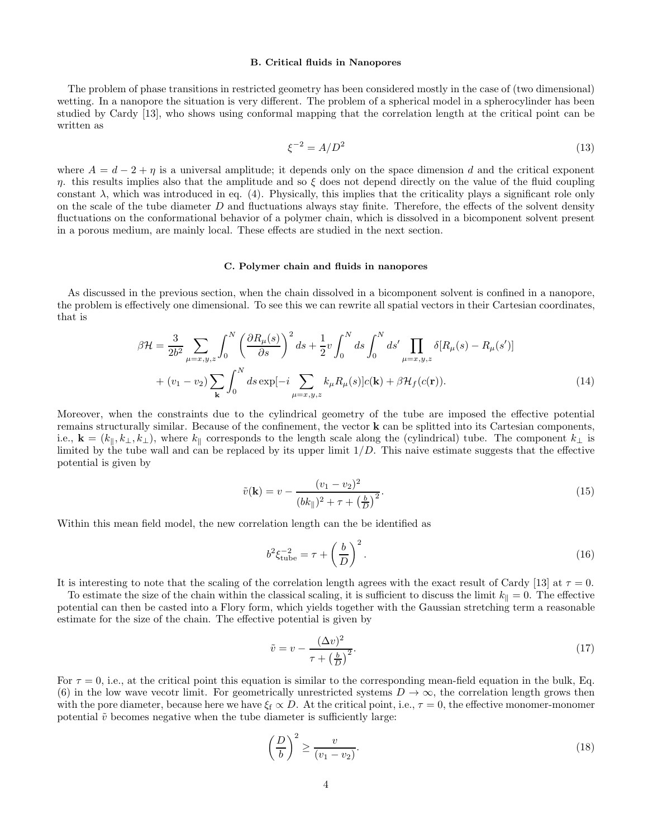## B. Critical fluids in Nanopores

The problem of phase transitions in restricted geometry has been considered mostly in the case of (two dimensional) wetting. In a nanopore the situation is very different. The problem of a spherical model in a spherocylinder has been studied by Cardy [13], who shows using conformal mapping that the correlation length at the critical point can be written as

$$
\xi^{-2} = A/D^2 \tag{13}
$$

where  $A = d - 2 + \eta$  is a universal amplitude; it depends only on the space dimension d and the critical exponent  $η$ , this results implies also that the amplitude and so ξ does not depend directly on the value of the fluid coupling constant  $\lambda$ , which was introduced in eq. (4). Physically, this implies that the criticality plays a significant role only on the scale of the tube diameter  $D$  and fluctuations always stay finite. Therefore, the effects of the solvent density fluctuations on the conformational behavior of a polymer chain, which is dissolved in a bicomponent solvent present in a porous medium, are mainly local. These effects are studied in the next section.

### C. Polymer chain and fluids in nanopores

As discussed in the previous section, when the chain dissolved in a bicomponent solvent is confined in a nanopore, the problem is effectively one dimensional. To see this we can rewrite all spatial vectors in their Cartesian coordinates, that is

$$
\beta \mathcal{H} = \frac{3}{2b^2} \sum_{\mu=x,y,z} \int_0^N \left( \frac{\partial R_\mu(s)}{\partial s} \right)^2 ds + \frac{1}{2} v \int_0^N ds \int_0^N ds' \prod_{\mu=x,y,z} \delta[R_\mu(s) - R_\mu(s')] + (v_1 - v_2) \sum_{\mathbf{k}} \int_0^N ds \exp[-i \sum_{\mu=x,y,z} k_\mu R_\mu(s)] c(\mathbf{k}) + \beta \mathcal{H}_f(c(\mathbf{r})).
$$
 (14)

Moreover, when the constraints due to the cylindrical geometry of the tube are imposed the effective potential remains structurally similar. Because of the confinement, the vector k can be splitted into its Cartesian components, i.e.,  $\mathbf{k} = (k_{\parallel}, k_{\perp}, k_{\perp})$ , where  $k_{\parallel}$  corresponds to the length scale along the (cylindrical) tube. The component  $k_{\perp}$  is limited by the tube wall and can be replaced by its upper limit  $1/D$ . This naive estimate suggests that the effective potential is given by

$$
\tilde{v}(\mathbf{k}) = v - \frac{(v_1 - v_2)^2}{(bk_{\parallel})^2 + \tau + \left(\frac{b}{D}\right)^2}.
$$
\n(15)

Within this mean field model, the new correlation length can the be identified as

$$
b^2 \xi_{\text{tube}}^{-2} = \tau + \left(\frac{b}{D}\right)^2. \tag{16}
$$

It is interesting to note that the scaling of the correlation length agrees with the exact result of Cardy [13] at  $\tau = 0$ .

To estimate the size of the chain within the classical scaling, it is sufficient to discuss the limit  $k_{\parallel} = 0$ . The effective potential can then be casted into a Flory form, which yields together with the Gaussian stretching term a reasonable estimate for the size of the chain. The effective potential is given by

$$
\tilde{v} = v - \frac{(\Delta v)^2}{\tau + \left(\frac{b}{D}\right)^2}.\tag{17}
$$

For  $\tau = 0$ , i.e., at the critical point this equation is similar to the corresponding mean-field equation in the bulk, Eq. (6) in the low wave vecotr limit. For geometrically unrestricted systems  $D \to \infty$ , the correlation length grows then with the pore diameter, because here we have  $\xi_f \propto D$ . At the critical point, i.e.,  $\tau = 0$ , the effective monomer-monomer potential  $\tilde{v}$  becomes negative when the tube diameter is sufficiently large:

$$
\left(\frac{D}{b}\right)^2 \ge \frac{v}{(v_1 - v_2)}.\tag{18}
$$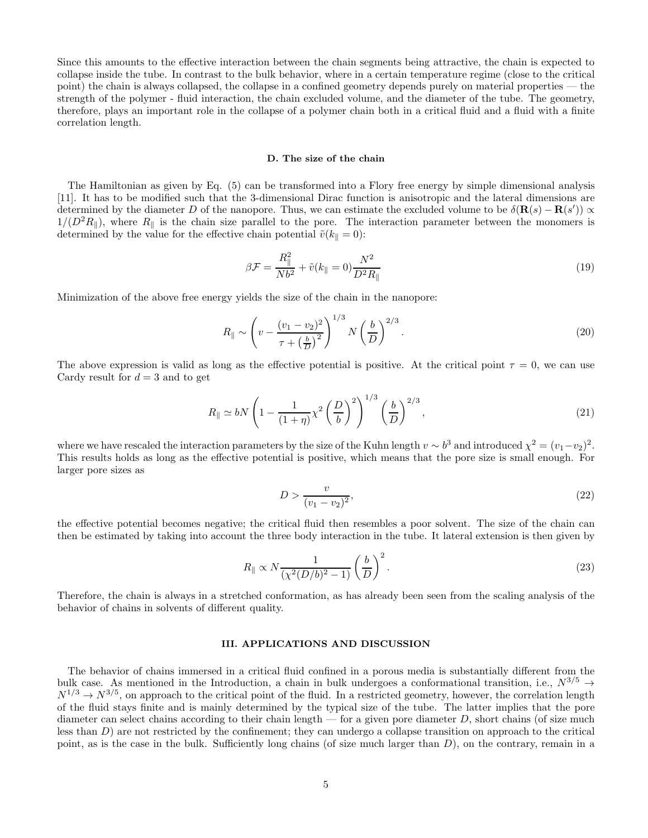Since this amounts to the effective interaction between the chain segments being attractive, the chain is expected to collapse inside the tube. In contrast to the bulk behavior, where in a certain temperature regime (close to the critical point) the chain is always collapsed, the collapse in a confined geometry depends purely on material properties — the strength of the polymer - fluid interaction, the chain excluded volume, and the diameter of the tube. The geometry, therefore, plays an important role in the collapse of a polymer chain both in a critical fluid and a fluid with a finite correlation length.

#### D. The size of the chain

The Hamiltonian as given by Eq. (5) can be transformed into a Flory free energy by simple dimensional analysis [11]. It has to be modified such that the 3-dimensional Dirac function is anisotropic and the lateral dimensions are determined by the diameter D of the nanopore. Thus, we can estimate the excluded volume to be  $\delta(\mathbf{R}(s) - \mathbf{R}(s')) \propto$  $1/(D^2R_{\parallel})$ , where  $R_{\parallel}$  is the chain size parallel to the pore. The interaction parameter between the monomers is determined by the value for the effective chain potential  $\tilde{v}(k_{\parallel} = 0)$ :

$$
\beta \mathcal{F} = \frac{R_{\parallel}^2}{Nb^2} + \tilde{v}(k_{\parallel} = 0) \frac{N^2}{D^2 R_{\parallel}}
$$
\n(19)

Minimization of the above free energy yields the size of the chain in the nanopore:

$$
R_{\parallel} \sim \left(v - \frac{(v_1 - v_2)^2}{\tau + \left(\frac{b}{D}\right)^2}\right)^{1/3} N\left(\frac{b}{D}\right)^{2/3}.
$$
\n(20)

The above expression is valid as long as the effective potential is positive. At the critical point  $\tau = 0$ , we can use Cardy result for  $d = 3$  and to get

$$
R_{\parallel} \simeq bN\left(1 - \frac{1}{(1+\eta)}\chi^2\left(\frac{D}{b}\right)^2\right)^{1/3}\left(\frac{b}{D}\right)^{2/3},\tag{21}
$$

where we have rescaled the interaction parameters by the size of the Kuhn length  $v \sim b^3$  and introduced  $\chi^2 = (v_1 - v_2)^2$ . This results holds as long as the effective potential is positive, which means that the pore size is small enough. For larger pore sizes as

$$
D > \frac{v}{(v_1 - v_2)^2},\tag{22}
$$

the effective potential becomes negative; the critical fluid then resembles a poor solvent. The size of the chain can then be estimated by taking into account the three body interaction in the tube. It lateral extension is then given by

$$
R_{\parallel} \propto N \frac{1}{\left(\chi^2 (D/b)^2 - 1\right)} \left(\frac{b}{D}\right)^2. \tag{23}
$$

Therefore, the chain is always in a stretched conformation, as has already been seen from the scaling analysis of the behavior of chains in solvents of different quality.

### III. APPLICATIONS AND DISCUSSION

The behavior of chains immersed in a critical fluid confined in a porous media is substantially different from the bulk case. As mentioned in the Introduction, a chain in bulk undergoes a conformational transition, i.e.,  $N^{3/5} \rightarrow$  $N^{1/3} \rightarrow N^{3/5}$ , on approach to the critical point of the fluid. In a restricted geometry, however, the correlation length of the fluid stays finite and is mainly determined by the typical size of the tube. The latter implies that the pore diameter can select chains according to their chain length — for a given pore diameter  $D$ , short chains (of size much less than  $D$ ) are not restricted by the confinement; they can undergo a collapse transition on approach to the critical point, as is the case in the bulk. Sufficiently long chains (of size much larger than  $D$ ), on the contrary, remain in a